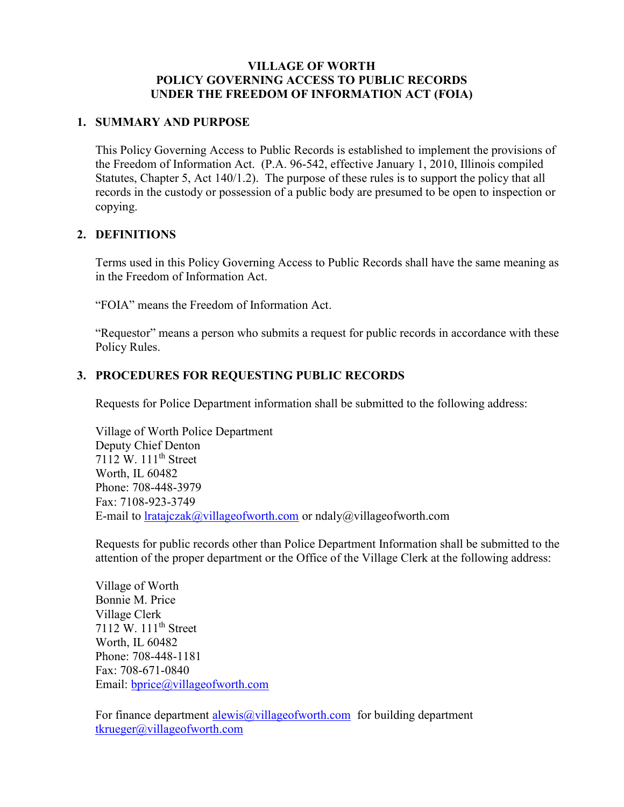#### VILLAGE OF WORTH POLICY GOVERNING ACCESS TO PUBLIC RECORDS UNDER THE FREEDOM OF INFORMATION ACT (FOIA)

#### 1. SUMMARY AND PURPOSE

This Policy Governing Access to Public Records is established to implement the provisions of the Freedom of Information Act. (P.A. 96-542, effective January 1, 2010, Illinois compiled Statutes, Chapter 5, Act 140/1.2). The purpose of these rules is to support the policy that all records in the custody or possession of a public body are presumed to be open to inspection or copying.

#### 2. DEFINITIONS

Terms used in this Policy Governing Access to Public Records shall have the same meaning as in the Freedom of Information Act.

"FOIA" means the Freedom of Information Act.

"Requestor" means a person who submits a request for public records in accordance with these Policy Rules.

## 3. PROCEDURES FOR REQUESTING PUBLIC RECORDS

Requests for Police Department information shall be submitted to the following address:

Village of Worth Police Department Deputy Chief Denton 7112 W. 111th Street Worth, IL 60482 Phone: 708-448-3979 Fax: 7108-923-3749 E-mail to lratajczak@villageofworth.com or ndaly@villageofworth.com

Requests for public records other than Police Department Information shall be submitted to the attention of the proper department or the Office of the Village Clerk at the following address:

Village of Worth Bonnie M. Price Village Clerk 7112 W. 111<sup>th</sup> Street Worth, IL 60482 Phone: 708-448-1181 Fax: 708-671-0840 Email: bprice@villageofworth.com

For finance department alewis@villageofworth.com for building department tkrueger@villageofworth.com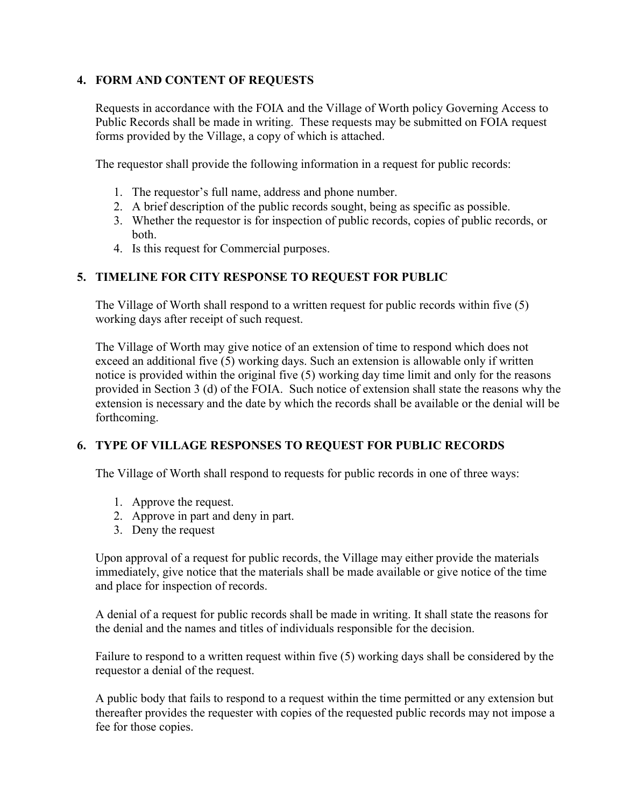## 4. FORM AND CONTENT OF REQUESTS

Requests in accordance with the FOIA and the Village of Worth policy Governing Access to Public Records shall be made in writing. These requests may be submitted on FOIA request forms provided by the Village, a copy of which is attached.

The requestor shall provide the following information in a request for public records:

- 1. The requestor's full name, address and phone number.
- 2. A brief description of the public records sought, being as specific as possible.
- 3. Whether the requestor is for inspection of public records, copies of public records, or both.
- 4. Is this request for Commercial purposes.

# 5. TIMELINE FOR CITY RESPONSE TO REQUEST FOR PUBLIC

The Village of Worth shall respond to a written request for public records within five (5) working days after receipt of such request.

The Village of Worth may give notice of an extension of time to respond which does not exceed an additional five (5) working days. Such an extension is allowable only if written notice is provided within the original five (5) working day time limit and only for the reasons provided in Section 3 (d) of the FOIA. Such notice of extension shall state the reasons why the extension is necessary and the date by which the records shall be available or the denial will be forthcoming.

## 6. TYPE OF VILLAGE RESPONSES TO REQUEST FOR PUBLIC RECORDS

The Village of Worth shall respond to requests for public records in one of three ways:

- 1. Approve the request.
- 2. Approve in part and deny in part.
- 3. Deny the request

Upon approval of a request for public records, the Village may either provide the materials immediately, give notice that the materials shall be made available or give notice of the time and place for inspection of records.

A denial of a request for public records shall be made in writing. It shall state the reasons for the denial and the names and titles of individuals responsible for the decision.

Failure to respond to a written request within five (5) working days shall be considered by the requestor a denial of the request.

A public body that fails to respond to a request within the time permitted or any extension but thereafter provides the requester with copies of the requested public records may not impose a fee for those copies.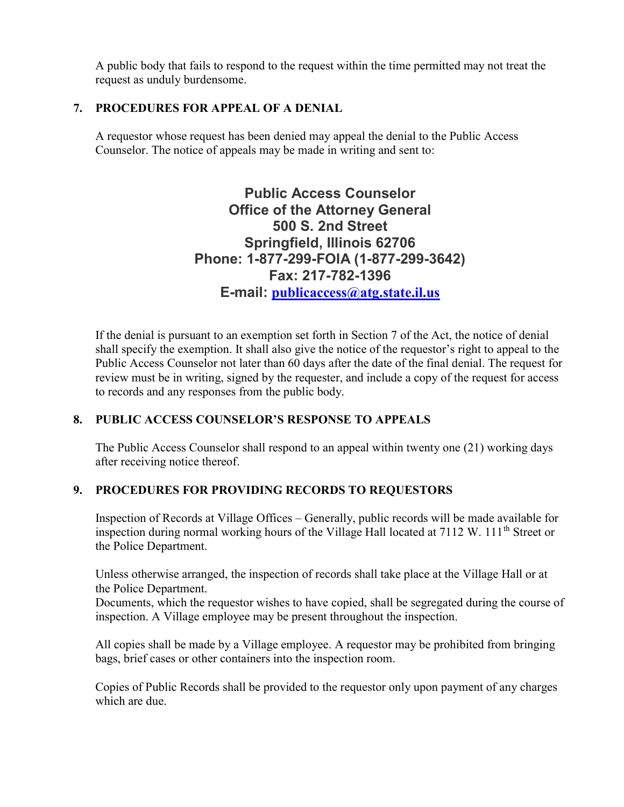A public body that fails to respond to the request within the time permitted may not treat the request as unduly burdensome.

# 7. PROCEDURES FOR APPEAL OF A DENIAL

A requestor whose request has been denied may appeal the denial to the Public Access Counselor. The notice of appeals may be made in writing and sent to:

> Public Access Counselor Office of the Attorney General 500 S. 2nd Street Springfield, Illinois 62706 Phone: 1-877-299-FOIA (1-877-299-3642) Fax: 217-782-1396 E-mail: publicaccess@atg.state.il.us

If the denial is pursuant to an exemption set forth in Section 7 of the Act, the notice of denial shall specify the exemption. It shall also give the notice of the requestor's right to appeal to the Public Access Counselor not later than 60 days after the date of the final denial. The request for review must be in writing, signed by the requester, and include a copy of the request for access to records and any responses from the public body.

## 8. PUBLIC ACCESS COUNSELOR'S RESPONSE TO APPEALS

The Public Access Counselor shall respond to an appeal within twenty one (21) working days after receiving notice thereof.

## 9. PROCEDURES FOR PROVIDING RECORDS TO REQUESTORS

Inspection of Records at Village Offices – Generally, public records will be made available for inspection during normal working hours of the Village Hall located at  $7112 \text{ W}$ .  $111^{\text{th}}$  Street or the Police Department.

Unless otherwise arranged, the inspection of records shall take place at the Village Hall or at the Police Department.

Documents, which the requestor wishes to have copied, shall be segregated during the course of inspection. A Village employee may be present throughout the inspection.

All copies shall be made by a Village employee. A requestor may be prohibited from bringing bags, brief cases or other containers into the inspection room.

Copies of Public Records shall be provided to the requestor only upon payment of any charges which are due.